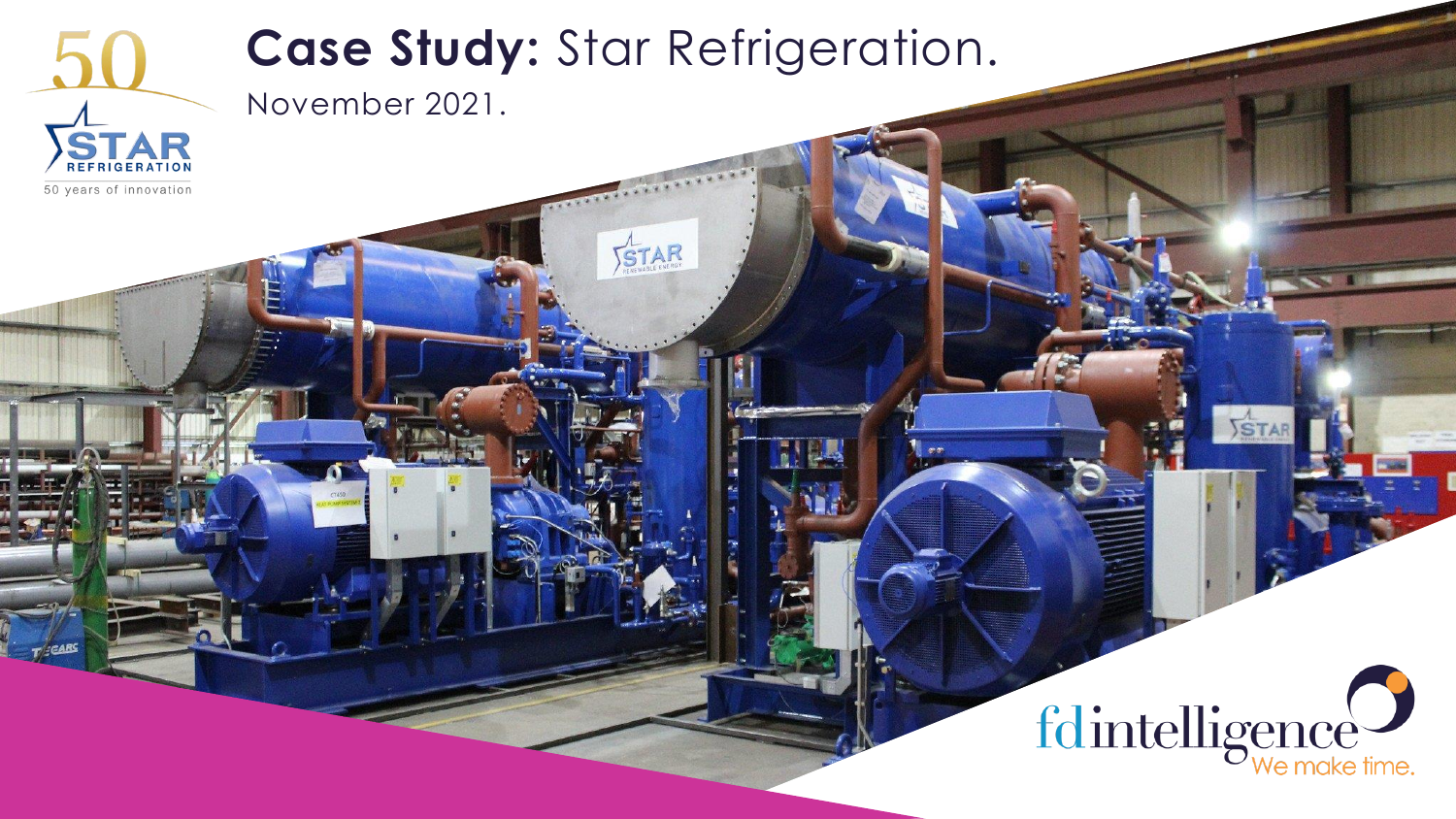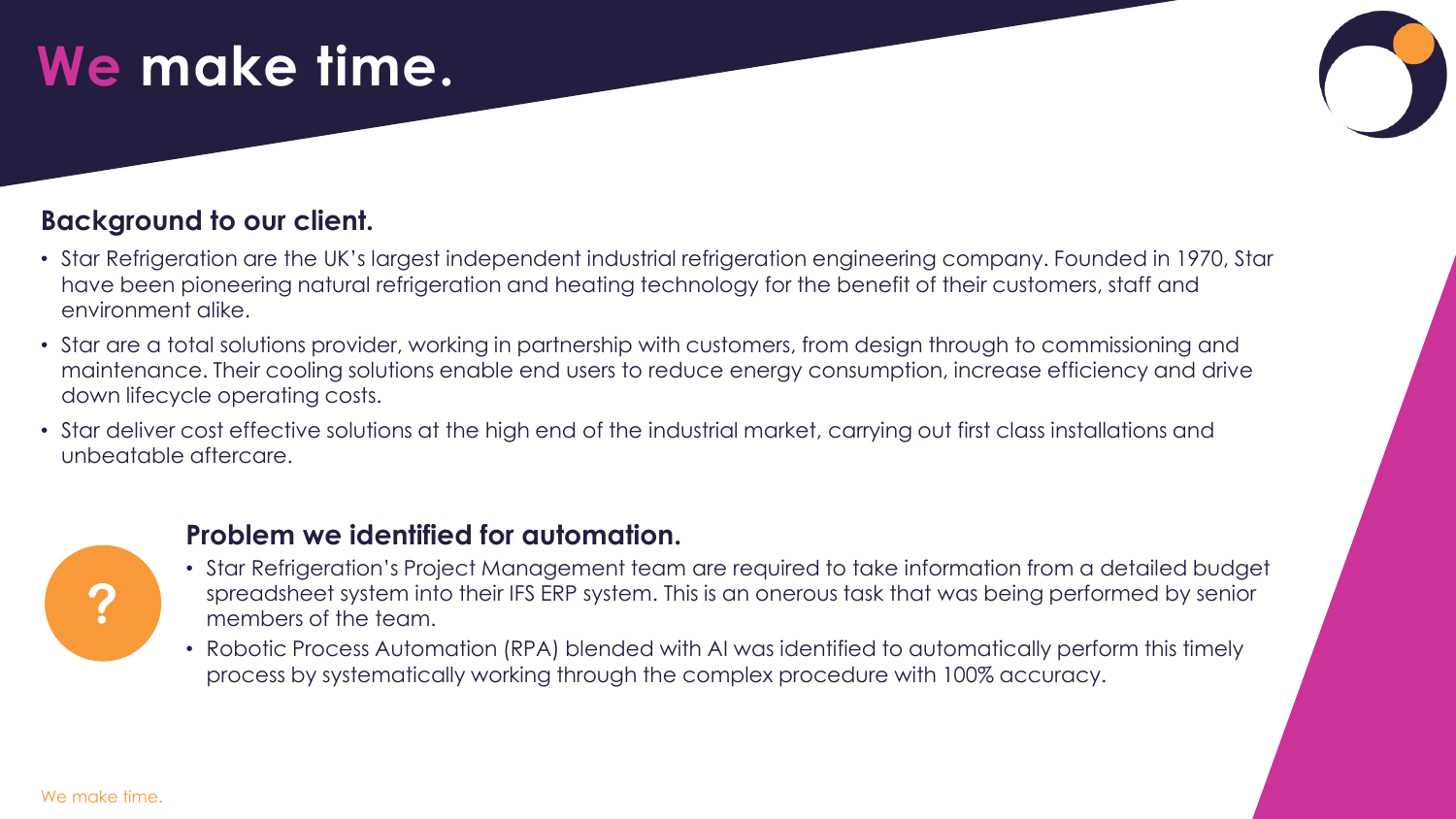# **We make time.**

#### **Background to our client.**

- Star Refrigeration are the UK's largest independent industrial refrigeration engineering company. Founded in 1970, Star have been pioneering natural refrigeration and heating technology for the benefit of their customers, staff and environment alike.
- Star are a total solutions provider, working in partnership with customers, from design through to commissioning and maintenance. Their cooling solutions enable end users to reduce energy consumption, increase efficiency and drive down lifecycle operating costs.
- Star deliver cost effective solutions at the high end of the industrial market, carrying out first class installations and unbeatable aftercare.



#### **Problem we identified for automation.**

- Star Refrigeration's Project Management team are required to take information from a detailed budget spreadsheet system into their IFS ERP system. This is an onerous task that was being performed by senior members of the team.
- Robotic Process Automation (RPA) blended with AI was identified to automatically perform this timely process by systematically working through the complex procedure with 100% accuracy.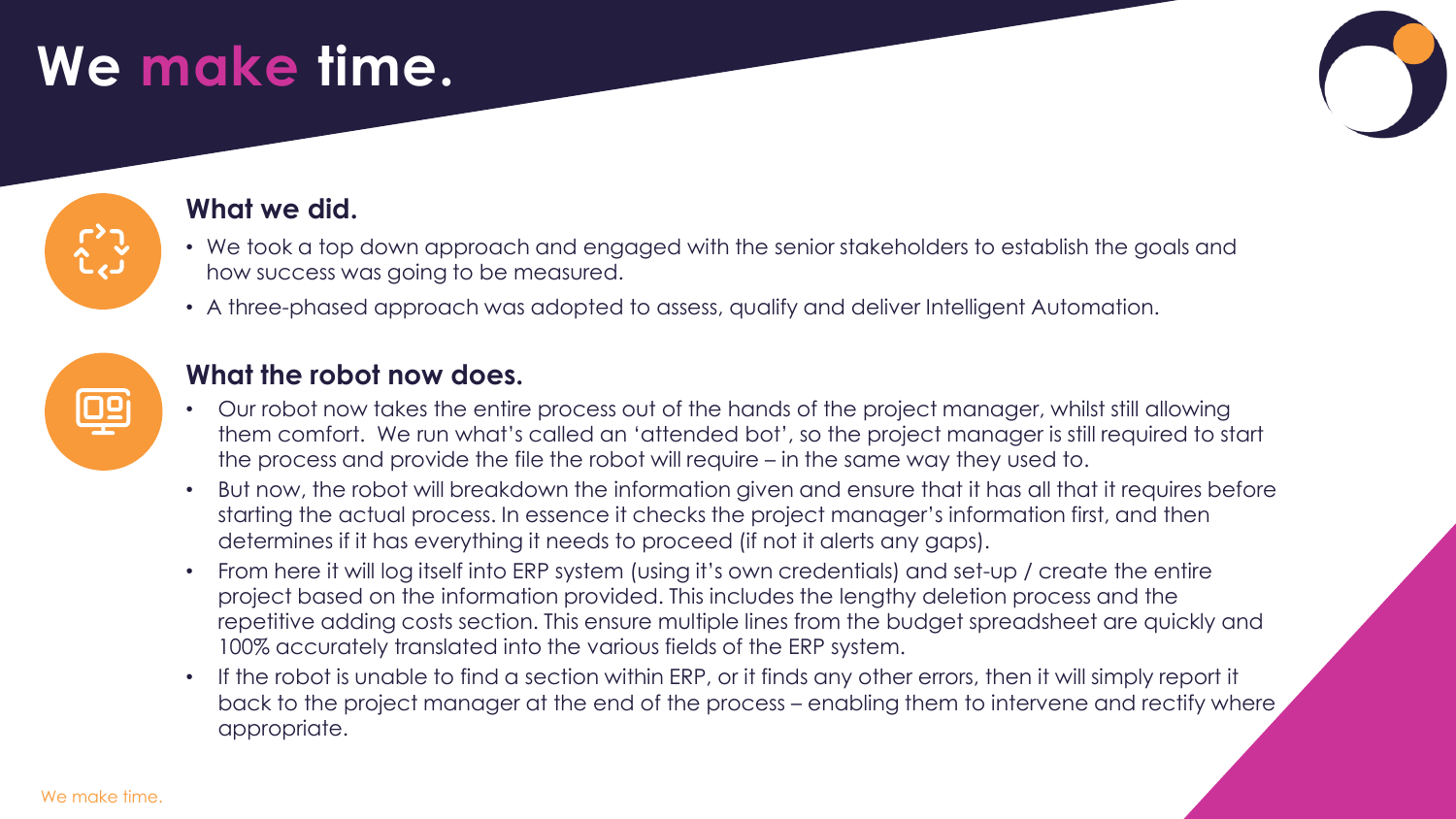# **We make time.**



#### **What we did.**

- We took a top down approach and engaged with the senior stakeholders to establish the goals and how success was going to be measured.
- A three-phased approach was adopted to assess, qualify and deliver Intelligent Automation.



#### **What the robot now does.**

- Our robot now takes the entire process out of the hands of the project manager, whilst still allowing them comfort. We run what's called an 'attended bot', so the project manager is still required to start the process and provide the file the robot will require – in the same way they used to.
- But now, the robot will breakdown the information given and ensure that it has all that it requires before starting the actual process. In essence it checks the project manager's information first, and then determines if it has everything it needs to proceed (if not it alerts any gaps).
- From here it will log itself into ERP system (using it's own credentials) and set-up / create the entire project based on the information provided. This includes the lengthy deletion process and the repetitive adding costs section. This ensure multiple lines from the budget spreadsheet are quickly and 100% accurately translated into the various fields of the ERP system.
- If the robot is unable to find a section within ERP, or it finds any other errors, then it will simply report it back to the project manager at the end of the process – enabling them to intervene and rectify where appropriate.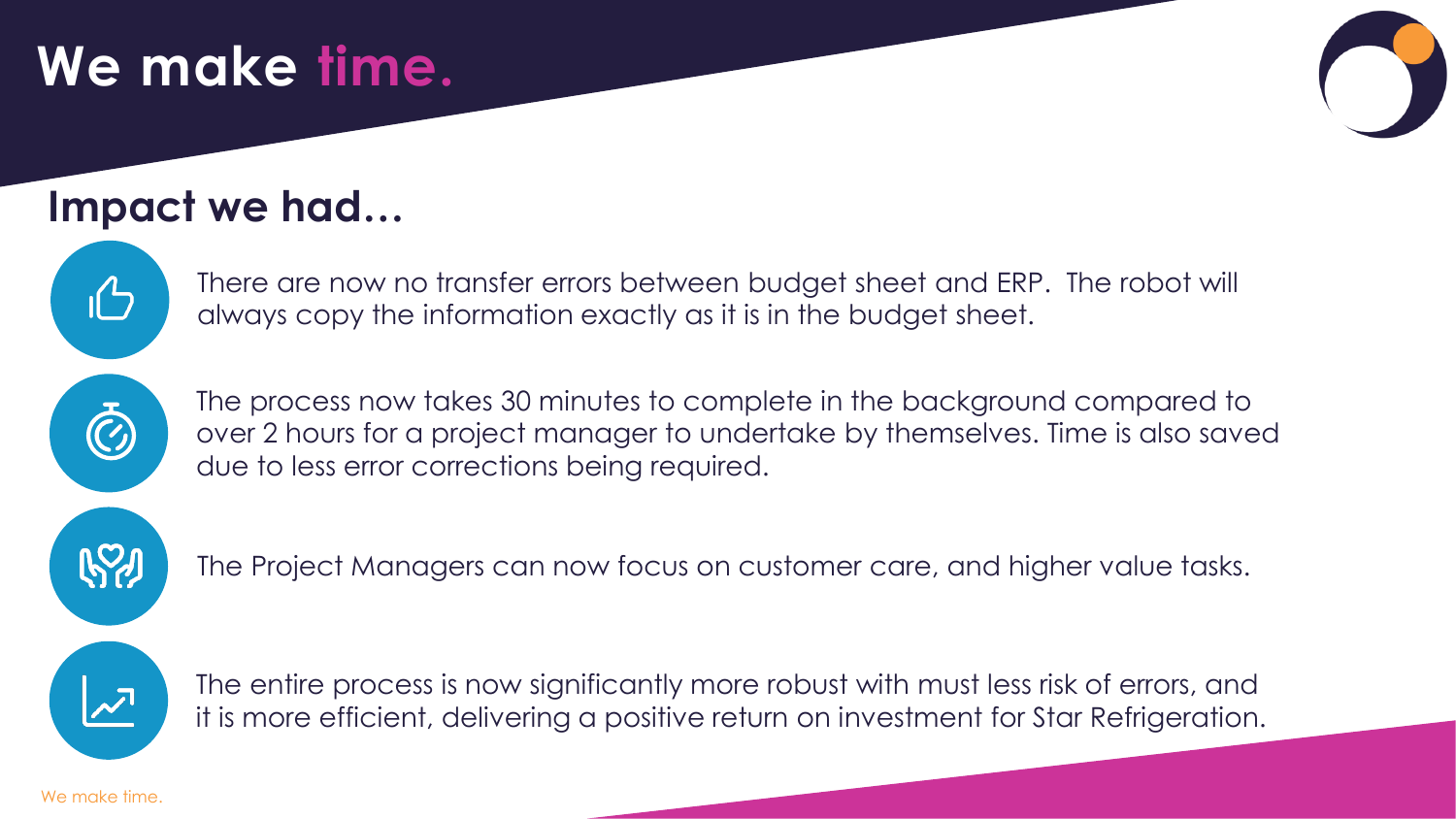# **We make time.**

### **Impact we had…**



There are now no transfer errors between budget sheet and ERP. The robot will always copy the information exactly as it is in the budget sheet.

The process now takes 30 minutes to complete in the background compared to over 2 hours for a project manager to undertake by themselves. Time is also saved due to less error corrections being required.



The Project Managers can now focus on customer care, and higher value tasks.



The entire process is now significantly more robust with must less risk of errors, and it is more efficient, delivering a positive return on investment for Star Refrigeration.